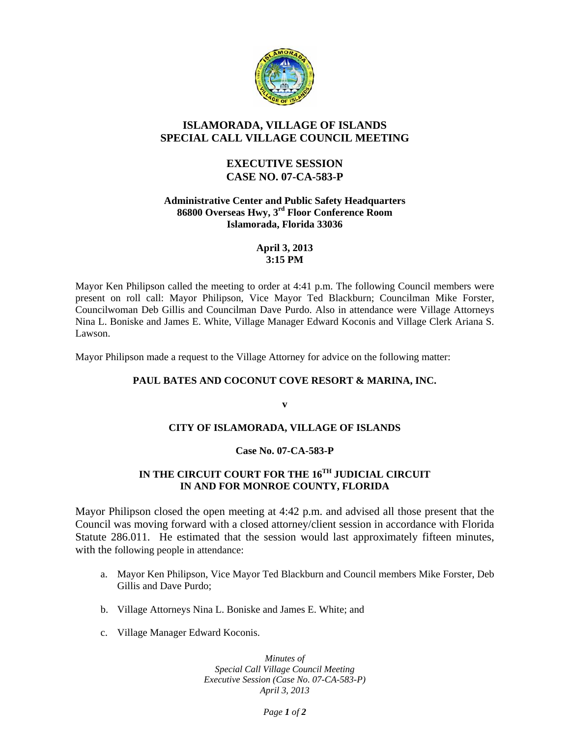

## **ISLAMORADA, VILLAGE OF ISLANDS SPECIAL CALL VILLAGE COUNCIL MEETING**

## **EXECUTIVE SESSION CASE NO. 07-CA-583-P**

### **Administrative Center and Public Safety Headquarters 86800 Overseas Hwy, 3rd Floor Conference Room Islamorada, Florida 33036**

### **April 3, 2013 3:15 PM**

Mayor Ken Philipson called the meeting to order at 4:41 p.m. The following Council members were present on roll call: Mayor Philipson, Vice Mayor Ted Blackburn; Councilman Mike Forster, Councilwoman Deb Gillis and Councilman Dave Purdo. Also in attendance were Village Attorneys Nina L. Boniske and James E. White, Village Manager Edward Koconis and Village Clerk Ariana S. Lawson.

Mayor Philipson made a request to the Village Attorney for advice on the following matter:

### **PAUL BATES AND COCONUT COVE RESORT & MARINA, INC.**

**v** 

### **CITY OF ISLAMORADA, VILLAGE OF ISLANDS**

### **Case No. 07-CA-583-P**

# **IN THE CIRCUIT COURT FOR THE 16TH JUDICIAL CIRCUIT IN AND FOR MONROE COUNTY, FLORIDA**

Mayor Philipson closed the open meeting at 4:42 p.m. and advised all those present that the Council was moving forward with a closed attorney/client session in accordance with Florida Statute 286.011. He estimated that the session would last approximately fifteen minutes, with the following people in attendance:

- a. Mayor Ken Philipson, Vice Mayor Ted Blackburn and Council members Mike Forster, Deb Gillis and Dave Purdo;
- b. Village Attorneys Nina L. Boniske and James E. White; and
- c. Village Manager Edward Koconis.

*Minutes of Special Call Village Council Meeting Executive Session (Case No. 07-CA-583-P) April 3, 2013* 

*Page 1 of 2*